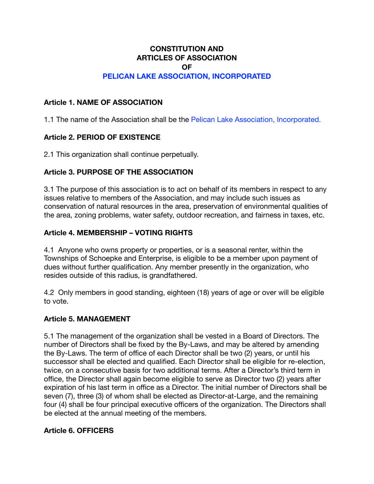# **CONSTITUTION AND ARTICLES OF ASSOCIATION**

**OF**

# **PELICAN LAKE ASSOCIATION, INCORPORATED**

#### **Article 1. NAME OF ASSOCIATION**

1.1 The name of the Association shall be the Pelican Lake Association, Incorporated.

# **Article 2. PERIOD OF EXISTENCE**

2.1 This organization shall continue perpetually.

## **Article 3. PURPOSE OF THE ASSOCIATION**

3.1 The purpose of this association is to act on behalf of its members in respect to any issues relative to members of the Association, and may include such issues as conservation of natural resources in the area, preservation of environmental qualities of the area, zoning problems, water safety, outdoor recreation, and fairness in taxes, etc.

## **Article 4. MEMBERSHIP – VOTING RIGHTS**

4.1 Anyone who owns property or properties, or is a seasonal renter, within the Townships of Schoepke and Enterprise, is eligible to be a member upon payment of dues without further qualification. Any member presently in the organization, who resides outside of this radius, is grandfathered.

4.2 Only members in good standing, eighteen (18) years of age or over will be eligible to vote.

#### **Article 5. MANAGEMENT**

5.1 The management of the organization shall be vested in a Board of Directors. The number of Directors shall be fixed by the By-Laws, and may be altered by amending the By-Laws. The term of office of each Director shall be two (2) years, or until his successor shall be elected and qualified. Each Director shall be eligible for re-election, twice, on a consecutive basis for two additional terms. After a Director's third term in office, the Director shall again become eligible to serve as Director two (2) years after expiration of his last term in office as a Director. The initial number of Directors shall be seven (7), three (3) of whom shall be elected as Director-at-Large, and the remaining four (4) shall be four principal executive officers of the organization. The Directors shall be elected at the annual meeting of the members.

#### **Article 6. OFFICERS**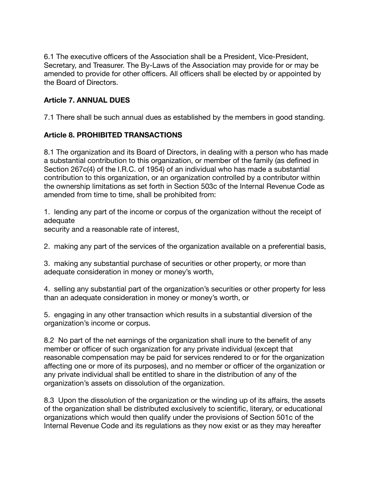6.1 The executive officers of the Association shall be a President, Vice-President, Secretary, and Treasurer. The By-Laws of the Association may provide for or may be amended to provide for other officers. All officers shall be elected by or appointed by the Board of Directors.

# **Article 7. ANNUAL DUES**

7.1 There shall be such annual dues as established by the members in good standing.

# **Article 8. PROHIBITED TRANSACTIONS**

8.1 The organization and its Board of Directors, in dealing with a person who has made a substantial contribution to this organization, or member of the family (as defined in Section 267c(4) of the I.R.C. of 1954) of an individual who has made a substantial contribution to this organization, or an organization controlled by a contributor within the ownership limitations as set forth in Section 503c of the Internal Revenue Code as amended from time to time, shall be prohibited from:

1. lending any part of the income or corpus of the organization without the receipt of adequate

security and a reasonable rate of interest,

2. making any part of the services of the organization available on a preferential basis,

3. making any substantial purchase of securities or other property, or more than adequate consideration in money or money's worth,

4. selling any substantial part of the organization's securities or other property for less than an adequate consideration in money or money's worth, or

5. engaging in any other transaction which results in a substantial diversion of the organization's income or corpus.

8.2 No part of the net earnings of the organization shall inure to the benefit of any member or officer of such organization for any private individual (except that reasonable compensation may be paid for services rendered to or for the organization affecting one or more of its purposes), and no member or officer of the organization or any private individual shall be entitled to share in the distribution of any of the organization's assets on dissolution of the organization.

8.3 Upon the dissolution of the organization or the winding up of its affairs, the assets of the organization shall be distributed exclusively to scientific, literary, or educational organizations which would then qualify under the provisions of Section 501c of the Internal Revenue Code and its regulations as they now exist or as they may hereafter